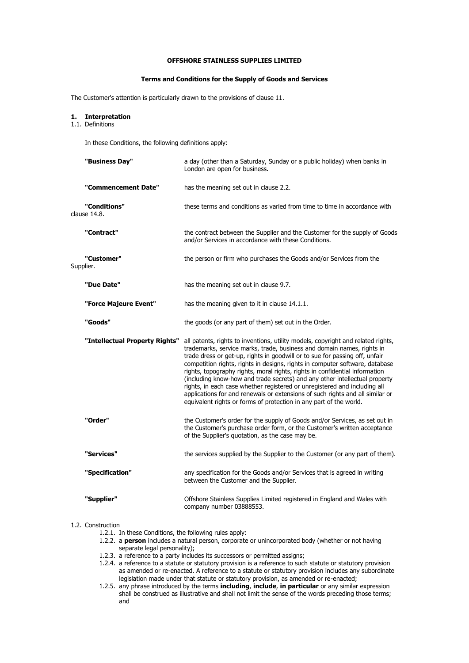## **OFFSHORE STAINLESS SUPPLIES LIMITED**

#### **Terms and Conditions for the Supply of Goods and Services**

The Customer's attention is particularly drawn to the provisions of clause 11.

# **1. Interpretation**

1.1. Definitions

In these Conditions, the following definitions apply:

| "Business Day"                 | a day (other than a Saturday, Sunday or a public holiday) when banks in<br>London are open for business.                                                                                                                                                                                                                                                                                                                                                                                                                                                                                                                                                                                                                   |
|--------------------------------|----------------------------------------------------------------------------------------------------------------------------------------------------------------------------------------------------------------------------------------------------------------------------------------------------------------------------------------------------------------------------------------------------------------------------------------------------------------------------------------------------------------------------------------------------------------------------------------------------------------------------------------------------------------------------------------------------------------------------|
| "Commencement Date"            | has the meaning set out in clause 2.2.                                                                                                                                                                                                                                                                                                                                                                                                                                                                                                                                                                                                                                                                                     |
| "Conditions"<br>clause 14.8.   | these terms and conditions as varied from time to time in accordance with                                                                                                                                                                                                                                                                                                                                                                                                                                                                                                                                                                                                                                                  |
| "Contract"                     | the contract between the Supplier and the Customer for the supply of Goods<br>and/or Services in accordance with these Conditions.                                                                                                                                                                                                                                                                                                                                                                                                                                                                                                                                                                                         |
| "Customer"<br>Supplier.        | the person or firm who purchases the Goods and/or Services from the                                                                                                                                                                                                                                                                                                                                                                                                                                                                                                                                                                                                                                                        |
| "Due Date"                     | has the meaning set out in clause 9.7.                                                                                                                                                                                                                                                                                                                                                                                                                                                                                                                                                                                                                                                                                     |
| "Force Majeure Event"          | has the meaning given to it in clause 14.1.1.                                                                                                                                                                                                                                                                                                                                                                                                                                                                                                                                                                                                                                                                              |
| "Goods"                        | the goods (or any part of them) set out in the Order.                                                                                                                                                                                                                                                                                                                                                                                                                                                                                                                                                                                                                                                                      |
|                                |                                                                                                                                                                                                                                                                                                                                                                                                                                                                                                                                                                                                                                                                                                                            |
| "Intellectual Property Rights" | all patents, rights to inventions, utility models, copyright and related rights,<br>trademarks, service marks, trade, business and domain names, rights in<br>trade dress or get-up, rights in goodwill or to sue for passing off, unfair<br>competition rights, rights in designs, rights in computer software, database<br>rights, topography rights, moral rights, rights in confidential information<br>(including know-how and trade secrets) and any other intellectual property<br>rights, in each case whether registered or unregistered and including all<br>applications for and renewals or extensions of such rights and all similar or<br>equivalent rights or forms of protection in any part of the world. |
| "Order"                        | the Customer's order for the supply of Goods and/or Services, as set out in<br>the Customer's purchase order form, or the Customer's written acceptance<br>of the Supplier's quotation, as the case may be.                                                                                                                                                                                                                                                                                                                                                                                                                                                                                                                |
| "Services"                     | the services supplied by the Supplier to the Customer (or any part of them).                                                                                                                                                                                                                                                                                                                                                                                                                                                                                                                                                                                                                                               |
| "Specification"                | any specification for the Goods and/or Services that is agreed in writing<br>between the Customer and the Supplier.                                                                                                                                                                                                                                                                                                                                                                                                                                                                                                                                                                                                        |

## 1.2. Construction

1.2.1. In these Conditions, the following rules apply:

- 1.2.2. a **person** includes a natural person, corporate or unincorporated body (whether or not having separate legal personality);
- 1.2.3. a reference to a party includes its successors or permitted assigns;
- 1.2.4. a reference to a statute or statutory provision is a reference to such statute or statutory provision as amended or re-enacted. A reference to a statute or statutory provision includes any subordinate legislation made under that statute or statutory provision, as amended or re-enacted;
- 1.2.5. any phrase introduced by the terms **including**, **include**, **in particular** or any similar expression shall be construed as illustrative and shall not limit the sense of the words preceding those terms; and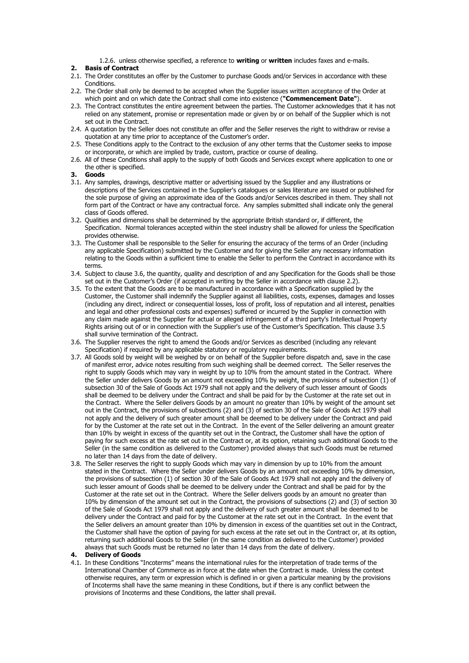1.2.6. unless otherwise specified, a reference to **writing** or **written** includes faxes and e-mails.

## **2. Basis of Contract**

- 2.1. The Order constitutes an offer by the Customer to purchase Goods and/or Services in accordance with these Conditions.
- 2.2. The Order shall only be deemed to be accepted when the Supplier issues written acceptance of the Order at which point and on which date the Contract shall come into existence (**"Commencement Date"**).
- 2.3. The Contract constitutes the entire agreement between the parties. The Customer acknowledges that it has not relied on any statement, promise or representation made or given by or on behalf of the Supplier which is not set out in the Contract.
- 2.4. A quotation by the Seller does not constitute an offer and the Seller reserves the right to withdraw or revise a quotation at any time prior to acceptance of the Customer's order.
- 2.5. These Conditions apply to the Contract to the exclusion of any other terms that the Customer seeks to impose or incorporate, or which are implied by trade, custom, practice or course of dealing.
- 2.6. All of these Conditions shall apply to the supply of both Goods and Services except where application to one or the other is specified.
- **3. Goods**
- 3.1. Any samples, drawings, descriptive matter or advertising issued by the Supplier and any illustrations or descriptions of the Services contained in the Supplier's catalogues or sales literature are issued or published for the sole purpose of giving an approximate idea of the Goods and/or Services described in them. They shall not form part of the Contract or have any contractual force. Any samples submitted shall indicate only the general class of Goods offered.
- 3.2. Qualities and dimensions shall be determined by the appropriate British standard or, if different, the Specification. Normal tolerances accepted within the steel industry shall be allowed for unless the Specification provides otherwise.
- 3.3. The Customer shall be responsible to the Seller for ensuring the accuracy of the terms of an Order (including any applicable Specification) submitted by the Customer and for giving the Seller any necessary information relating to the Goods within a sufficient time to enable the Seller to perform the Contract in accordance with its terms.
- 3.4. Subject to clause 3.6, the quantity, quality and description of and any Specification for the Goods shall be those set out in the Customer's Order (if accepted in writing by the Seller in accordance with clause 2.2).
- 3.5. To the extent that the Goods are to be manufactured in accordance with a Specification supplied by the Customer, the Customer shall indemnify the Supplier against all liabilities, costs, expenses, damages and losses (including any direct, indirect or consequential losses, loss of profit, loss of reputation and all interest, penalties and legal and other professional costs and expenses) suffered or incurred by the Supplier in connection with any claim made against the Supplier for actual or alleged infringement of a third party's Intellectual Property Rights arising out of or in connection with the Supplier's use of the Customer's Specification. This clause 3.5 shall survive termination of the Contract.
- 3.6. The Supplier reserves the right to amend the Goods and/or Services as described (including any relevant Specification) if required by any applicable statutory or regulatory requirements.
- 3.7. All Goods sold by weight will be weighed by or on behalf of the Supplier before dispatch and, save in the case of manifest error, advice notes resulting from such weighing shall be deemed correct. The Seller reserves the right to supply Goods which may vary in weight by up to 10% from the amount stated in the Contract. Where the Seller under delivers Goods by an amount not exceeding 10% by weight, the provisions of subsection (1) of subsection 30 of the Sale of Goods Act 1979 shall not apply and the delivery of such lesser amount of Goods shall be deemed to be delivery under the Contract and shall be paid for by the Customer at the rate set out in the Contract. Where the Seller delivers Goods by an amount no greater than 10% by weight of the amount set out in the Contract, the provisions of subsections (2) and (3) of section 30 of the Sale of Goods Act 1979 shall not apply and the delivery of such greater amount shall be deemed to be delivery under the Contract and paid for by the Customer at the rate set out in the Contract. In the event of the Seller delivering an amount greater than 10% by weight in excess of the quantity set out in the Contract, the Customer shall have the option of paying for such excess at the rate set out in the Contract or, at its option, retaining such additional Goods to the Seller (in the same condition as delivered to the Customer) provided always that such Goods must be returned no later than 14 days from the date of delivery.
- 3.8. The Seller reserves the right to supply Goods which may vary in dimension by up to 10% from the amount stated in the Contract. Where the Seller under delivers Goods by an amount not exceeding 10% by dimension, the provisions of subsection (1) of section 30 of the Sale of Goods Act 1979 shall not apply and the delivery of such lesser amount of Goods shall be deemed to be delivery under the Contract and shall be paid for by the Customer at the rate set out in the Contract. Where the Seller delivers goods by an amount no greater than 10% by dimension of the amount set out in the Contract, the provisions of subsections (2) and (3) of section 30 of the Sale of Goods Act 1979 shall not apply and the delivery of such greater amount shall be deemed to be delivery under the Contract and paid for by the Customer at the rate set out in the Contract. In the event that the Seller delivers an amount greater than 10% by dimension in excess of the quantities set out in the Contract, the Customer shall have the option of paying for such excess at the rate set out in the Contract or, at its option, returning such additional Goods to the Seller (in the same condition as delivered to the Customer) provided always that such Goods must be returned no later than 14 days from the date of delivery.

## **4. Delivery of Goods**

4.1. In these Conditions "Incoterms" means the international rules for the interpretation of trade terms of the International Chamber of Commerce as in force at the date when the Contract is made. Unless the context otherwise requires, any term or expression which is defined in or given a particular meaning by the provisions of Incoterms shall have the same meaning in these Conditions, but if there is any conflict between the provisions of Incoterms and these Conditions, the latter shall prevail.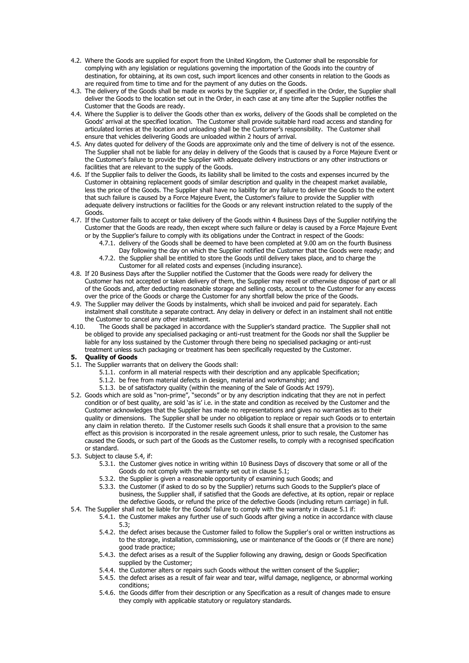- 4.2. Where the Goods are supplied for export from the United Kingdom, the Customer shall be responsible for complying with any legislation or regulations governing the importation of the Goods into the country of destination, for obtaining, at its own cost, such import licences and other consents in relation to the Goods as are required from time to time and for the payment of any duties on the Goods.
- 4.3. The delivery of the Goods shall be made ex works by the Supplier or, if specified in the Order, the Supplier shall deliver the Goods to the location set out in the Order, in each case at any time after the Supplier notifies the Customer that the Goods are ready.
- 4.4. Where the Supplier is to deliver the Goods other than ex works, delivery of the Goods shall be completed on the Goods' arrival at the specified location. The Customer shall provide suitable hard road access and standing for articulated lorries at the location and unloading shall be the Customer's responsibility. The Customer shall ensure that vehicles delivering Goods are unloaded within 2 hours of arrival.
- 4.5. Any dates quoted for delivery of the Goods are approximate only and the time of delivery is not of the essence. The Supplier shall not be liable for any delay in delivery of the Goods that is caused by a Force Majeure Event or the Customer's failure to provide the Supplier with adequate delivery instructions or any other instructions or facilities that are relevant to the supply of the Goods.
- 4.6. If the Supplier fails to deliver the Goods, its liability shall be limited to the costs and expenses incurred by the Customer in obtaining replacement goods of similar description and quality in the cheapest market available, less the price of the Goods. The Supplier shall have no liability for any failure to deliver the Goods to the extent that such failure is caused by a Force Majeure Event, the Customer's failure to provide the Supplier with adequate delivery instructions or facilities for the Goods or any relevant instruction related to the supply of the Goods.
- 4.7. If the Customer fails to accept or take delivery of the Goods within 4 Business Days of the Supplier notifying the Customer that the Goods are ready, then except where such failure or delay is caused by a Force Majeure Event or by the Supplier's failure to comply with its obligations under the Contract in respect of the Goods:
	- 4.7.1. delivery of the Goods shall be deemed to have been completed at 9.00 am on the fourth Business
	- Day following the day on which the Supplier notified the Customer that the Goods were ready; and 4.7.2. the Supplier shall be entitled to store the Goods until delivery takes place, and to charge the Customer for all related costs and expenses (including insurance).
- 4.8. If 20 Business Days after the Supplier notified the Customer that the Goods were ready for delivery the Customer has not accepted or taken delivery of them, the Supplier may resell or otherwise dispose of part or all of the Goods and, after deducting reasonable storage and selling costs, account to the Customer for any excess over the price of the Goods or charge the Customer for any shortfall below the price of the Goods.
- 4.9. The Supplier may deliver the Goods by instalments, which shall be invoiced and paid for separately. Each instalment shall constitute a separate contract. Any delay in delivery or defect in an instalment shall not entitle the Customer to cancel any other instalment.
- 4.10. The Goods shall be packaged in accordance with the Supplier's standard practice. The Supplier shall not be obliged to provide any specialised packaging or anti-rust treatment for the Goods nor shall the Supplier be liable for any loss sustained by the Customer through there being no specialised packaging or anti-rust treatment unless such packaging or treatment has been specifically requested by the Customer.
- **5. Quality of Goods**
- 5.1. The Supplier warrants that on delivery the Goods shall:
	- 5.1.1. conform in all material respects with their description and any applicable Specification;
	- 5.1.2. be free from material defects in design, material and workmanship; and
	- 5.1.3. be of satisfactory quality (within the meaning of the Sale of Goods Act 1979).
- 5.2. Goods which are sold as "non-prime", "seconds" or by any description indicating that they are not in perfect condition or of best quality, are sold 'as is' i.e. in the state and condition as received by the Customer and the Customer acknowledges that the Supplier has made no representations and gives no warranties as to their quality or dimensions. The Supplier shall be under no obligation to replace or repair such Goods or to entertain any claim in relation thereto. If the Customer resells such Goods it shall ensure that a provision to the same effect as this provision is incorporated in the resale agreement unless, prior to such resale, the Customer has caused the Goods, or such part of the Goods as the Customer resells, to comply with a recognised specification or standard.
- 5.3. Subject to clause 5.4, if:
	- 5.3.1. the Customer gives notice in writing within 10 Business Days of discovery that some or all of the Goods do not comply with the warranty set out in clause 5.1;
	- 5.3.2. the Supplier is given a reasonable opportunity of examining such Goods; and
	- 5.3.3. the Customer (if asked to do so by the Supplier) returns such Goods to the Supplier's place of business, the Supplier shall, if satisfied that the Goods are defective, at its option, repair or replace the defective Goods, or refund the price of the defective Goods (including return carriage) in full.
- 5.4. The Supplier shall not be liable for the Goods' failure to comply with the warranty in clause 5.1 if:
	- 5.4.1. the Customer makes any further use of such Goods after giving a notice in accordance with clause 5.3;
		- 5.4.2. the defect arises because the Customer failed to follow the Supplier's oral or written instructions as to the storage, installation, commissioning, use or maintenance of the Goods or (if there are none) good trade practice;
		- 5.4.3. the defect arises as a result of the Supplier following any drawing, design or Goods Specification supplied by the Customer;
		- 5.4.4. the Customer alters or repairs such Goods without the written consent of the Supplier;
		- 5.4.5. the defect arises as a result of fair wear and tear, wilful damage, negligence, or abnormal working conditions;
		- 5.4.6. the Goods differ from their description or any Specification as a result of changes made to ensure they comply with applicable statutory or regulatory standards.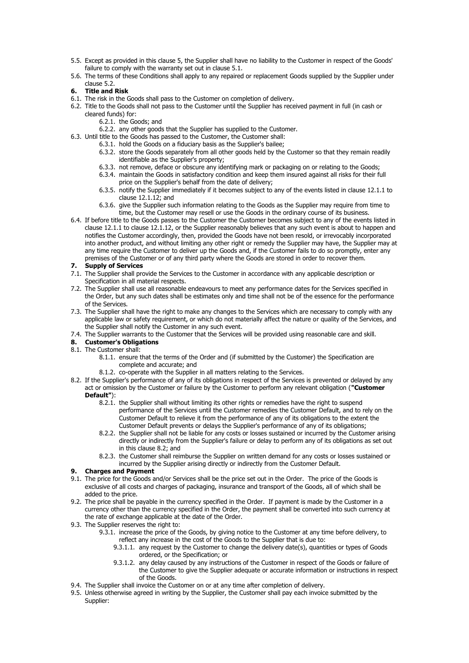- 5.5. Except as provided in this clause 5, the Supplier shall have no liability to the Customer in respect of the Goods' failure to comply with the warranty set out in clause 5.1.
- 5.6. The terms of these Conditions shall apply to any repaired or replacement Goods supplied by the Supplier under clause 5.2.

# **6. Title and Risk**

- 6.1. The risk in the Goods shall pass to the Customer on completion of delivery.
- 6.2. Title to the Goods shall not pass to the Customer until the Supplier has received payment in full (in cash or cleared funds) for:
	- 6.2.1. the Goods; and
	- 6.2.2. any other goods that the Supplier has supplied to the Customer.
- 6.3. Until title to the Goods has passed to the Customer, the Customer shall:
	- 6.3.1. hold the Goods on a fiduciary basis as the Supplier's bailee;
		- 6.3.2. store the Goods separately from all other goods held by the Customer so that they remain readily identifiable as the Supplier's property;
		- 6.3.3. not remove, deface or obscure any identifying mark or packaging on or relating to the Goods;
		- 6.3.4. maintain the Goods in satisfactory condition and keep them insured against all risks for their full price on the Supplier's behalf from the date of delivery;
		- 6.3.5. notify the Supplier immediately if it becomes subject to any of the events listed in clause 12.1.1 to clause 12.1.12; and
		- 6.3.6. give the Supplier such information relating to the Goods as the Supplier may require from time to time, but the Customer may resell or use the Goods in the ordinary course of its business.
- 6.4. If before title to the Goods passes to the Customer the Customer becomes subject to any of the events listed in clause 12.1.1 to clause 12.1.12, or the Supplier reasonably believes that any such event is about to happen and notifies the Customer accordingly, then, provided the Goods have not been resold, or irrevocably incorporated into another product, and without limiting any other right or remedy the Supplier may have, the Supplier may at any time require the Customer to deliver up the Goods and, if the Customer fails to do so promptly, enter any premises of the Customer or of any third party where the Goods are stored in order to recover them.

### **7. Supply of Services**

- 7.1. The Supplier shall provide the Services to the Customer in accordance with any applicable description or Specification in all material respects.
- 7.2. The Supplier shall use all reasonable endeavours to meet any performance dates for the Services specified in the Order, but any such dates shall be estimates only and time shall not be of the essence for the performance of the Services.
- 7.3. The Supplier shall have the right to make any changes to the Services which are necessary to comply with any applicable law or safety requirement, or which do not materially affect the nature or quality of the Services, and the Supplier shall notify the Customer in any such event.
- 7.4. The Supplier warrants to the Customer that the Services will be provided using reasonable care and skill.
- **8. Customer's Obligations**
- 8.1. The Customer shall:
	- 8.1.1. ensure that the terms of the Order and (if submitted by the Customer) the Specification are complete and accurate; and
	- 8.1.2. co-operate with the Supplier in all matters relating to the Services.
- 8.2. If the Supplier's performance of any of its obligations in respect of the Services is prevented or delayed by any act or omission by the Customer or failure by the Customer to perform any relevant obligation (**"Customer Default"**):
	- 8.2.1. the Supplier shall without limiting its other rights or remedies have the right to suspend performance of the Services until the Customer remedies the Customer Default, and to rely on the Customer Default to relieve it from the performance of any of its obligations to the extent the Customer Default prevents or delays the Supplier's performance of any of its obligations;
	- 8.2.2. the Supplier shall not be liable for any costs or losses sustained or incurred by the Customer arising directly or indirectly from the Supplier's failure or delay to perform any of its obligations as set out in this clause 8.2; and
	- 8.2.3. the Customer shall reimburse the Supplier on written demand for any costs or losses sustained or incurred by the Supplier arising directly or indirectly from the Customer Default.

## **9. Charges and Payment**

- 9.1. The price for the Goods and/or Services shall be the price set out in the Order. The price of the Goods is exclusive of all costs and charges of packaging, insurance and transport of the Goods, all of which shall be added to the price.
- 9.2. The price shall be payable in the currency specified in the Order. If payment is made by the Customer in a currency other than the currency specified in the Order, the payment shall be converted into such currency at the rate of exchange applicable at the date of the Order.
- 9.3. The Supplier reserves the right to:
	- 9.3.1. increase the price of the Goods, by giving notice to the Customer at any time before delivery, to reflect any increase in the cost of the Goods to the Supplier that is due to:
		- 9.3.1.1. any request by the Customer to change the delivery date(s), quantities or types of Goods ordered, or the Specification; or
		- 9.3.1.2. any delay caused by any instructions of the Customer in respect of the Goods or failure of the Customer to give the Supplier adequate or accurate information or instructions in respect of the Goods.
- 9.4. The Supplier shall invoice the Customer on or at any time after completion of delivery.
- 9.5. Unless otherwise agreed in writing by the Supplier, the Customer shall pay each invoice submitted by the Supplier: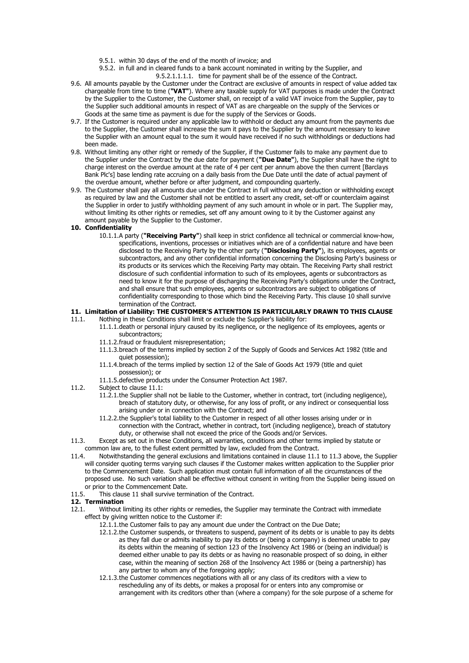- 9.5.1. within 30 days of the end of the month of invoice; and
- 9.5.2. in full and in cleared funds to a bank account nominated in writing by the Supplier, and 9.5.2.1.1.1.1. time for payment shall be of the essence of the Contract.
- 9.6. All amounts payable by the Customer under the Contract are exclusive of amounts in respect of value added tax chargeable from time to time (**"VAT"**). Where any taxable supply for VAT purposes is made under the Contract by the Supplier to the Customer, the Customer shall, on receipt of a valid VAT invoice from the Supplier, pay to the Supplier such additional amounts in respect of VAT as are chargeable on the supply of the Services or Goods at the same time as payment is due for the supply of the Services or Goods.
- 9.7. If the Customer is required under any applicable law to withhold or deduct any amount from the payments due to the Supplier, the Customer shall increase the sum it pays to the Supplier by the amount necessary to leave the Supplier with an amount equal to the sum it would have received if no such withholdings or deductions had been made.
- 9.8. Without limiting any other right or remedy of the Supplier, if the Customer fails to make any payment due to the Supplier under the Contract by the due date for payment (**"Due Date"**), the Supplier shall have the right to charge interest on the overdue amount at the rate of 4 per cent per annum above the then current [Barclays Bank Plc's] base lending rate accruing on a daily basis from the Due Date until the date of actual payment of the overdue amount, whether before or after judgment, and compounding quarterly.
- 9.9. The Customer shall pay all amounts due under the Contract in full without any deduction or withholding except as required by law and the Customer shall not be entitled to assert any credit, set-off or counterclaim against the Supplier in order to justify withholding payment of any such amount in whole or in part. The Supplier may, without limiting its other rights or remedies, set off any amount owing to it by the Customer against any amount payable by the Supplier to the Customer.

### **10. Confidentiality**

10.1.1.A party (**"Receiving Party"**) shall keep in strict confidence all technical or commercial know-how, specifications, inventions, processes or initiatives which are of a confidential nature and have been disclosed to the Receiving Party by the other party (**"Disclosing Party"**), its employees, agents or subcontractors, and any other confidential information concerning the Disclosing Party's business or its products or its services which the Receiving Party may obtain. The Receiving Party shall restrict disclosure of such confidential information to such of its employees, agents or subcontractors as need to know it for the purpose of discharging the Receiving Party's obligations under the Contract, and shall ensure that such employees, agents or subcontractors are subject to obligations of confidentiality corresponding to those which bind the Receiving Party. This clause 10 shall survive termination of the Contract.

## **11. Limitation of Liability: THE CUSTOMER'S ATTENTION IS PARTICULARLY DRAWN TO THIS CLAUSE**

- 11.1. Nothing in these Conditions shall limit or exclude the Supplier's liability for:
	- 11.1.1.death or personal injury caused by its negligence, or the negligence of its employees, agents or subcontractors;
		- 11.1.2.fraud or fraudulent misrepresentation;
		- 11.1.3.breach of the terms implied by section 2 of the Supply of Goods and Services Act 1982 (title and quiet possession);
		- 11.1.4.breach of the terms implied by section 12 of the Sale of Goods Act 1979 (title and quiet possession); or
		- 11.1.5.defective products under the Consumer Protection Act 1987.
- 11.2. Subject to clause 11.1:
	- 11.2.1.the Supplier shall not be liable to the Customer, whether in contract, tort (including negligence), breach of statutory duty, or otherwise, for any loss of profit, or any indirect or consequential loss arising under or in connection with the Contract; and
	- 11.2.2.the Supplier's total liability to the Customer in respect of all other losses arising under or in connection with the Contract, whether in contract, tort (including negligence), breach of statutory duty, or otherwise shall not exceed the price of the Goods and/or Services.
- 11.3. Except as set out in these Conditions, all warranties, conditions and other terms implied by statute or common law are, to the fullest extent permitted by law, excluded from the Contract.<br>11.4. Notwithstanding the general exclusions and limitations contained in clause 11.1
- Notwithstanding the general exclusions and limitations contained in clause 11.1 to 11.3 above, the Supplier will consider quoting terms varying such clauses if the Customer makes written application to the Supplier prior to the Commencement Date. Such application must contain full information of all the circumstances of the proposed use. No such variation shall be effective without consent in writing from the Supplier being issued on or prior to the Commencement Date.
- 11.5. This clause 11 shall survive termination of the Contract.

#### **12. Termination**

- 12.1. Without limiting its other rights or remedies, the Supplier may terminate the Contract with immediate effect by giving written notice to the Customer if:
	- 12.1.1.the Customer fails to pay any amount due under the Contract on the Due Date;
	- 12.1.2.the Customer suspends, or threatens to suspend, payment of its debts or is unable to pay its debts as they fall due or admits inability to pay its debts or (being a company) is deemed unable to pay its debts within the meaning of section 123 of the Insolvency Act 1986 or (being an individual) is deemed either unable to pay its debts or as having no reasonable prospect of so doing, in either case, within the meaning of section 268 of the Insolvency Act 1986 or (being a partnership) has any partner to whom any of the foregoing apply;
	- 12.1.3.the Customer commences negotiations with all or any class of its creditors with a view to rescheduling any of its debts, or makes a proposal for or enters into any compromise or arrangement with its creditors other than (where a company) for the sole purpose of a scheme for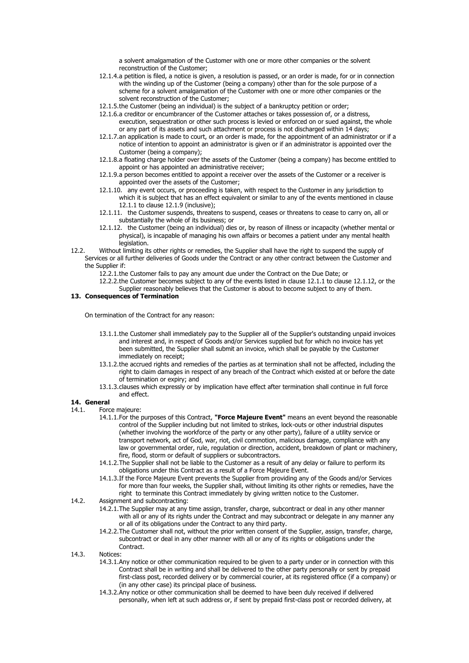a solvent amalgamation of the Customer with one or more other companies or the solvent reconstruction of the Customer;

- 12.1.4.a petition is filed, a notice is given, a resolution is passed, or an order is made, for or in connection with the winding up of the Customer (being a company) other than for the sole purpose of a scheme for a solvent amalgamation of the Customer with one or more other companies or the solvent reconstruction of the Customer;
- 12.1.5.the Customer (being an individual) is the subject of a bankruptcy petition or order;
- 12.1.6.a creditor or encumbrancer of the Customer attaches or takes possession of, or a distress, execution, sequestration or other such process is levied or enforced on or sued against, the whole or any part of its assets and such attachment or process is not discharged within 14 days;
- 12.1.7.an application is made to court, or an order is made, for the appointment of an administrator or if a notice of intention to appoint an administrator is given or if an administrator is appointed over the Customer (being a company);
- 12.1.8.a floating charge holder over the assets of the Customer (being a company) has become entitled to appoint or has appointed an administrative receiver;
- 12.1.9.a person becomes entitled to appoint a receiver over the assets of the Customer or a receiver is appointed over the assets of the Customer;
- 12.1.10. any event occurs, or proceeding is taken, with respect to the Customer in any jurisdiction to which it is subject that has an effect equivalent or similar to any of the events mentioned in clause 12.1.1 to clause 12.1.9 (inclusive);
- 12.1.11. the Customer suspends, threatens to suspend, ceases or threatens to cease to carry on, all or substantially the whole of its business; or
- 12.1.12. the Customer (being an individual) dies or, by reason of illness or incapacity (whether mental or physical), is incapable of managing his own affairs or becomes a patient under any mental health legislation.
- 12.2. Without limiting its other rights or remedies, the Supplier shall have the right to suspend the supply of Services or all further deliveries of Goods under the Contract or any other contract between the Customer and the Supplier if:
	- 12.2.1.the Customer fails to pay any amount due under the Contract on the Due Date; or
	- 12.2.2.the Customer becomes subject to any of the events listed in clause 12.1.1 to clause 12.1.12, or the Supplier reasonably believes that the Customer is about to become subject to any of them.

## **13. Consequences of Termination**

On termination of the Contract for any reason:

- 13.1.1.the Customer shall immediately pay to the Supplier all of the Supplier's outstanding unpaid invoices and interest and, in respect of Goods and/or Services supplied but for which no invoice has yet been submitted, the Supplier shall submit an invoice, which shall be payable by the Customer immediately on receipt;
- 13.1.2.the accrued rights and remedies of the parties as at termination shall not be affected, including the right to claim damages in respect of any breach of the Contract which existed at or before the date of termination or expiry; and
- 13.1.3.clauses which expressly or by implication have effect after termination shall continue in full force and effect.

## **14. General**

- 14.1. Force majeure:
	- 14.1.1.For the purposes of this Contract, **"Force Majeure Event"** means an event beyond the reasonable control of the Supplier including but not limited to strikes, lock-outs or other industrial disputes (whether involving the workforce of the party or any other party), failure of a utility service or transport network, act of God, war, riot, civil commotion, malicious damage, compliance with any law or governmental order, rule, regulation or direction, accident, breakdown of plant or machinery, fire, flood, storm or default of suppliers or subcontractors.
	- 14.1.2.The Supplier shall not be liable to the Customer as a result of any delay or failure to perform its obligations under this Contract as a result of a Force Majeure Event.
	- 14.1.3.If the Force Majeure Event prevents the Supplier from providing any of the Goods and/or Services for more than four weeks, the Supplier shall, without limiting its other rights or remedies, have the right to terminate this Contract immediately by giving written notice to the Customer.
- 14.2. Assignment and subcontracting:
	- 14.2.1.The Supplier may at any time assign, transfer, charge, subcontract or deal in any other manner with all or any of its rights under the Contract and may subcontract or delegate in any manner any or all of its obligations under the Contract to any third party.
	- 14.2.2.The Customer shall not, without the prior written consent of the Supplier, assign, transfer, charge, subcontract or deal in any other manner with all or any of its rights or obligations under the **Contract**
- 14.3. Notices:
	- 14.3.1.Any notice or other communication required to be given to a party under or in connection with this Contract shall be in writing and shall be delivered to the other party personally or sent by prepaid first-class post, recorded delivery or by commercial courier, at its registered office (if a company) or (in any other case) its principal place of business.
	- 14.3.2.Any notice or other communication shall be deemed to have been duly received if delivered personally, when left at such address or, if sent by prepaid first-class post or recorded delivery, at